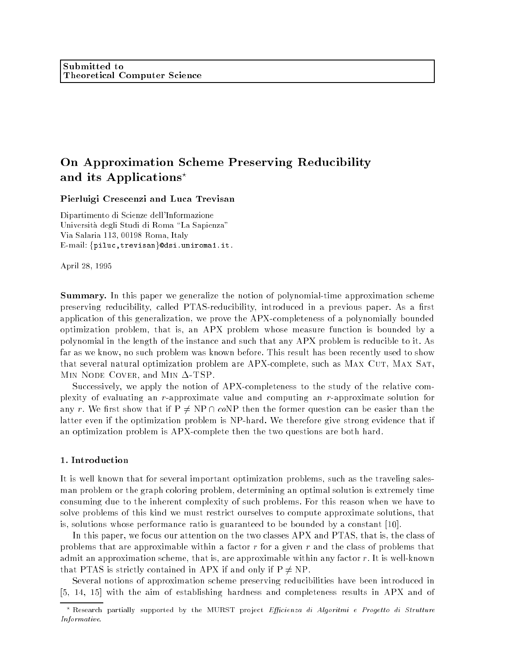## Pierluigi Crescenzi and Luca Trevisan

Dipartimento di Scienze dell'Informazione Universita degli Studi di Roma \La Sapienza" Via Salaria 113, 00198 Roma, Italy E-mail: {piluc,trevisan}@dsi.uniroma1.it.

April 28, 1995

Summary. In this paper we generalize the notion of polynomial-time approximation scheme preserving reducibility, called PTAS-reducibility, introduced in a previous paper. As a first application of this generalization, we prove the APX-completeness of a polynomially bounded optimization problem, that is, an APX problem whose measure function is bounded by a polynomial in the length of the instance and such that any APX problem is reducible to it. As far as we know, no such problem was known before. This result has been recently used to show that several natural optimization problem are APX-complete, such as MAX CUT, MAX SAT, MIN NODE COVER, and MIN  $\Delta$ -TSP.

Successively, we apply the notion of APX-completeness to the study of the relative complexity of evaluating an r-approximate value and computing an r-approximate solution for any r. We first show that if  $P \neq NP \cap coNP$  then the former question can be easier than the latter even if the optimization problem is NP-hard. We therefore give strong evidence that if an optimization problem is APX-complete then the two questions are both hard.

## 1. Introduction

It is well known that for several important optimization problems, such as the traveling salesman problem or the graph coloring problem, determining an optimal solution is extremely time consuming due to the inherent complexity of such problems. For this reason when we have to solve problems of this kind we must restrict ourselves to compute approximate solutions, that is, solutions whose performance ratio is guaranteed to be bounded by a constant [10].

In this paper, we focus our attention on the two classes APX and PTAS, that is, the class of problems that are approximable within a factor  $r$  for a given  $r$  and the class of problems that admit an approximation scheme, that is, are approximable within any factor r. It is well-known that PTAS is strictly contained in APX if and only if  $P \neq NP$ .

Several notions of approximation scheme preserving reducibilities have been introduced in [5, 14, 15] with the aim of establishing hardness and completeness results in APX and of

 $^{\circ}$  Kesearch partially supported by the MUKST project *Efficienza at Algoritmi e Progetto at Strutture* Informative.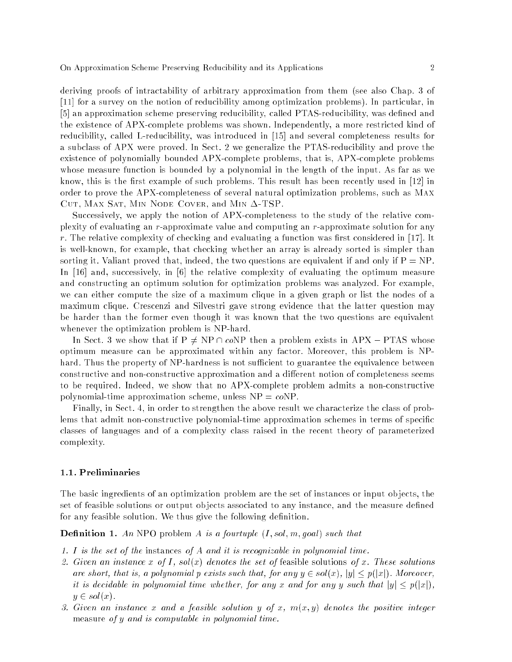deriving proofs of intractability of arbitrary approximation from them (see also Chap. 3 of [11] for a survey on the notion of reducibility among optimization problems). In particular, in [5] an approximation scheme preserving reducibility, called PTAS-reducibility, was defined and the existence of APX-complete problems was shown. Independently, a more restricted kind of reducibility, called L-reducibility, was introduced in [15] and several completeness results for a subclass of APX were proved. In Sect. 2 we generalize the PTAS-reducibility and prove the existence of polynomially bounded APX-complete problems, that is, APX-complete problems whose measure function is bounded by a polynomial in the length of the input. As far as we know, this is the first example of such problems. This result has been recently used in  $[12]$  in order to prove the APX-completeness of several natural optimization problems, such as Max CUT, MAX SAT, MIN NODE COVER, and MIN  $\Delta$ -TSP.

Successively, we apply the notion of APX-completeness to the study of the relative complexity of evaluating an r-approximate value and computing an r-approximate solution for any  $r$ . The relative complexity of checking and evaluating a function was first considered in [17]. It is well-known, for example, that checking whether an array is already sorted is simpler than sorting it. Valiant proved that, indeed, the two questions are equivalent if and only if  $P = NP$ . In [16] and, successively, in [6] the relative complexity of evaluating the optimum measure and constructing an optimum solution for optimization problems was analyzed. For example, we can either compute the size of a maximum clique in a given graph or list the nodes of a maximum clique. Crescenzi and Silvestri gave strong evidence that the latter question may be harder than the former even though it was known that the two questions are equivalent whenever the optimization problem is NP-hard.

In Sect. 3 we show that if  $P \neq NP \cap coNP$  then a problem exists in APX – PTAS whose optimum measure can be approximated within any factor. Moreover, this problem is NPhard. Thus the property of NP-hardness is not sufficient to guarantee the equivalence between constructive and non-constructive approximation and a different notion of completeness seems to be required. Indeed, we show that no APX-complete problem admits a non-constructive polynomial-time approximation scheme, unless  $NP = coNP$ .

Finally, in Sect. 4, in order to strengthen the above result we characterize the class of problems that admit non-constructive polynomial-time approximation schemes in terms of specific classes of languages and of a complexity class raised in the recent theory of parameterized complexity.

# 1.1. Preliminaries

The basic ingredients of an optimization problem are the set of instances or input ob jects, the set of feasible solutions or output objects associated to any instance, and the measure defined for any feasible solution. We thus give the following definition.

**Definition 1.** An NPO problem A is a fourtuple  $(I, sol, m, goal)$  such that

- 1. I is the set of the instances of A and it is recognizable in polynomial time.
- 2. Given an instance x of I, sol(x) denotes the set of feasible solutions of x. These solutions are short, that is, a polynomial p exists such that, for any  $y \in sol(x)$ ,  $|y| \leq p(|x|)$ . Moreover, it is decidable in polynomial time whether, for any x and for any y such that  $|y| \leq p(|x|)$ ,  $y \in sol(x)$ .
- 3. Given an instance x and a feasible solution y of x,  $m(x, y)$  denotes the positive integer measure of y and is computable in polynomial time.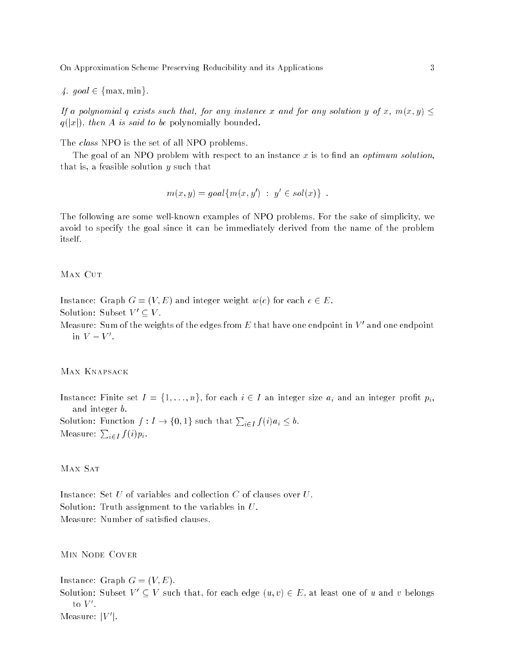4. goal  $\in \{\text{max}, \text{min}\}.$ 

If a polynomial q exists such that, for any instance x and for any solution y of x,  $m(x, y) \leq$  $q(|x|)$ , then A is said to be polynomially bounded.

The *class* NPO is the set of all NPO problems.

The goal of an NPO problem with respect to an instance x is to find an *optimum solution*, that is, a feasible solution y such that

$$
m(x,y) = goal\{m(x,y') : y' \in sol(x)\} .
$$

The following are some well-known examples of NPO problems. For the sake of simplicity, we avoid to specify the goal since it can be immediately derived from the name of the problem itself.

#### MAX CUT

- Instance: Graph  $G = (V, E)$  and integer weight  $w(e)$  for each  $e \in E$ . Solution: Subset  $V' \subset V$ .
- Measure: Sum of the weights of the edges from  $E$  that have one endpoint in  $V$  and one endpoint  $\ln V = V$ .

# Max Knapsack

Instance: Finite set  $I = \{1, \ldots, n\}$ , for each  $i \in I$  an integer size  $a_i$  and an integer profit  $p_i$ , and integer b. Solution: Function  $f: I \to \{0,1\}$  such that  $\sum_{i \in I} f(i) a_i \leq b$ . Measure:  $\sum_{i \in I} f(i) p_i$ .

MAX SAT

Instance: Set U of variables and collection C of clauses over U. Solution: Truth assignment to the variables in U. Measure: Number of satisfied clauses.

Min Node Cover

Instance: Graph  $G = (V, E)$ . Solution: Subset  $V' \subseteq V$  such that, for each edge  $(u, v) \in E$ , at least one of u and v belongs  $\mathfrak{v}$  v.  $measure: |V|$ .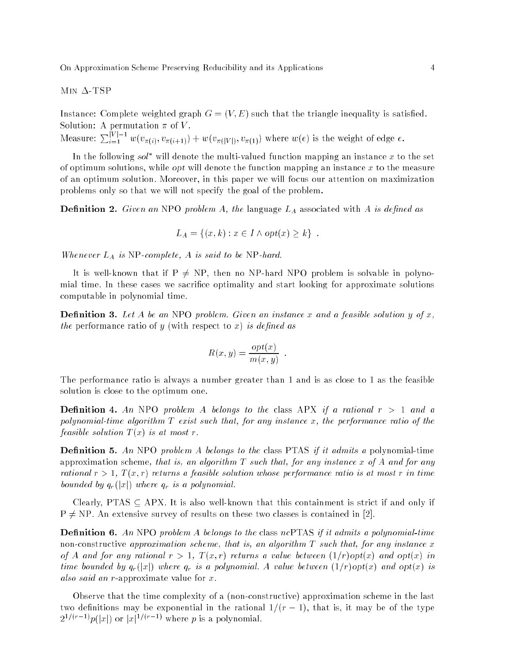$MIN \Delta-TSP$ 

Instance: Complete weighted graph  $G = (V, E)$  such that the triangle inequality is satisfied.

Measure:  $\sum_{i=1}^{|V|-1} w(v_{\pi(i)}, v_{\pi(i+1)}) + w(v_{\pi(|V|)}, v_{\pi(1)})$  where  $w(e)$  is the weight of edge  $e$ .

In the following *sol* will denote the multi-valued function mapping an instance  $x$  to the set of optimum solutions, while *opt* will denote the function mapping an instance  $x$  to the measure of an optimum solution. Moreover, in this paper we will focus our attention on maximization problems only so that we will not specify the goal of the problem.

**Definition 2.** Given an NPO problem A, the language  $L_A$  associated with A is defined as

$$
L_A = \{(x, k) : x \in I \land opt(x) \geq k\} .
$$

Whenever  $L_A$  is NP-complete,  $A$  is said to be NP-hard.

It is well-known that if  $P \neq NP$ , then no NP-hard NPO problem is solvable in polynomial time. In these cases we sacrifice optimality and start looking for approximate solutions computable in polynomial time.

**Definition 3.** Let A be an NPO problem. Given an instance x and a feasible solution y of x, the performance ratio of  $y$  (with respect to  $x$ ) is defined as

$$
R(x, y) = \frac{opt(x)}{m(x, y)}.
$$

The performance ratio is always a number greater than 1 and is as close to 1 as the feasible solution is close to the optimum one.

**Definition 4.** An NPO problem A belongs to the class APX if a rational  $r > 1$  and a polynomial-time algorithm  $T$  exist such that, for any instance x, the performance ratio of the feasible solution  $T(x)$  is at most r.

**Definition 5.** An NPO problem A belongs to the class PTAS if it admits a polynomial-time approximation scheme, that is, an algorithm  $T$  such that, for any instance x of A and for any rational  $r > 1$ ,  $T(x,r)$  returns a feasible solution whose performance ratio is at most r in time bounded by  $q_r(|x|)$  where  $q_r$  is a polynomial.

Clearly, PTAS  $\subseteq$  APX. It is also well-known that this containment is strict if and only if  $P \neq NP$ . An extensive survey of results on these two classes is contained in [2].

**Definition 6.** An NPO problem A belongs to the class ncPTAS if it admits a polynomial-time non-constructive approximation scheme, that is, an algorithm  $T$  such that, for any instance x of A and for any rational  $r > 1$ ,  $T(x,r)$  returns a value between  $(1/r)$  opt(x) and opt(x) in time bounded by  $q_r(|x|)$  where  $q_r$  is a polynomial. A value between  $(1/r)$ opt $(x)$  and opt $(x)$  is also said an r-approximate value for x.

Observe that the time complexity of a (non-constructive) approximation scheme in the last two definitions may be exponential in the rational  $1/(r - 1)$ , that is, it may be of the type  $2^{-\gamma(x)} \rightarrow p(|x|)$  or  $|x|^{-\gamma(x)} \rightarrow x$  where p is a polynomial.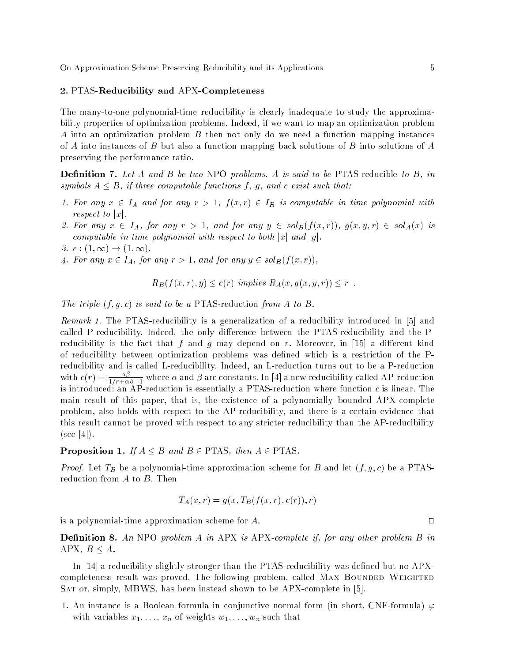#### 2. PTAS-Reducibility and APX-Completeness

The many-to-one polynomial-time reducibility is clearly inadequate to study the approximability properties of optimization problems. Indeed, if we want to map an optimization problem A into an optimization problem B then not only do we need a function mapping instances of A into instances of B but also a function mapping back solutions of B into solutions of A preserving the performance ratio.

**Definition 7.** Let A and B be two NPO problems. A is said to be PTAS-reducible to B, in symbols  $A \leq B$ , if three computable functions f, q, and c exist such that:

- 1. For any  $x \in I_A$  and for any  $r > 1$ ,  $f(x,r) \in I_B$  is computable in time polynomial with respect to  $|x|$ .
- 2. For any  $x \in I_A$ , for any  $r > 1$ , and for any  $y \in sol_B(f(x,r))$ ,  $g(x,y,r) \in sol_A(x)$  is computable in time polynomial with respect to both  $|x|$  and  $|y|$ .
- 3.  $c:(1,\infty) \rightarrow (1,\infty)$ .
- 4. For any  $x \in I_A$ , for any  $r > 1$ , and for any  $y \in sol_B(f(x,r))$ ,

$$
R_B(f(x,r),y) \le c(r) \ \ \text{implies} \ R_A(x,g(x,y,r)) \le r \ \ .
$$

The triple  $(f, g, c)$  is said to be a PTAS-reduction from A to B.

Remark 1. The PTAS-reducibility is a generalization of a reducibility introduced in [5] and called P-reducibility. Indeed, the only difference between the PTAS-reducibility and the Preducibility is the fact that f and g may depend on r. Moreover, in [15] a different kind of reducibility between optimization problems was dened which is a restriction of the Preducibility and is called L-reducibility. Indeed, an L-reduction turns out to be a P-reduction with  $c(r) = \frac{1}{1/r + \alpha \beta - 1}$  where  $\alpha$  and  $\beta$  are constants. In [4] a new reducibility called AP-reduction is introduced: an AP-reduction is essentially a PTAS-reduction where function  $c$  is linear. The main result of this paper, that is, the existence of a polynomially bounded APX-complete problem, also holds with respect to the AP-reducibility, and there is a certain evidence that this result cannot be proved with respect to any stricter reducibility than the AP-reducibility  $(see |4|).$ 

**Proposition 1.** If  $A \leq B$  and  $B \in PTAS$ , then  $A \in PTAS$ .

*Proof.* Let  $T_B$  be a polynomial-time approximation scheme for B and let  $(f, g, c)$  be a PTASreduction from A to B. Then

$$
T_A(x,r) = g(x, T_B(f(x,r), c(r)), r)
$$

is a polynomial-time approximation scheme for  $A$ .

**Definition 8.** An NPO problem A in APX is APX-complete if, for any other problem B in APX,  $B < A$ .

In [14] a reducibility slightly stronger than the PTAS-reducibility was defined but no APXcompleteness result was proved. The following problem, called MAX BOUNDED WEIGHTED Sat or, simply, MBWS, has been instead shown to be APX-complete in [5].

1. An instance is a Boolean formula in conjunctive normal form (in short, CNF-formula)  $\varphi$ with variables  $x_1, \ldots, x_n$  of weights  $w_1, \ldots, w_n$  such that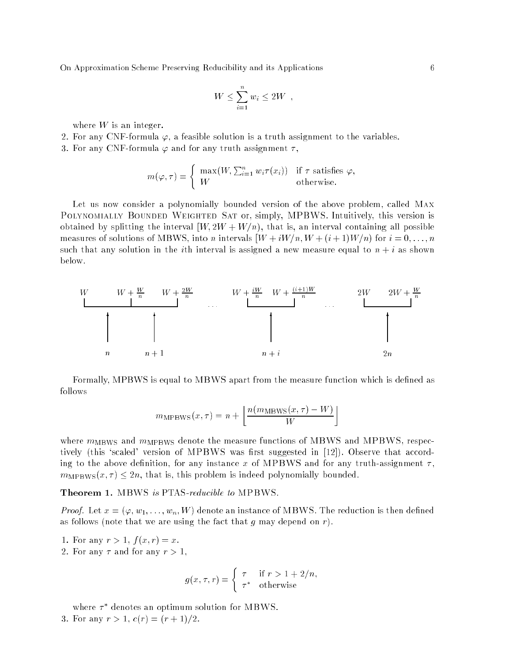$$
W \leq \sum_{i=1}^n w_i \leq 2W ,
$$

where  $W$  is an integer.

- 2. For any CNF-formula  $\varphi$ , a feasible solution is a truth assignment to the variables.
- 3. For any CNF-formula  $\varphi$  and for any truth assignment  $\tau$ ,

$$
m(\varphi, \tau) = \begin{cases} \max(W, \sum_{i=1}^{n} w_i \tau(x_i)) & \text{if } \tau \text{ satisfies } \varphi, \\ W & \text{otherwise.} \end{cases}
$$

Let us now consider a polynomially bounded version of the above problem, called Max POLYNOMIALLY BOUNDED WEIGHTED SAT or, simply, MPBWS. Intuitively, this version is obtained by splitting the interval  $[W, 2W + W/n)$ , that is, an interval containing all possible measures of solutions of MBWS, into n intervals  $[W + iW/n, W + (i + 1)W/n]$  for  $i = 0, \ldots, n$ such that any solution in the *i*th interval is assigned a new measure equal to  $n + i$  as shown below.



Formally, MPBWS is equal to MBWS apart from the measure function which is defined as follows

$$
m_{\text{MPBWS}}(x,\tau) = n + \left\lfloor \frac{n(m_{\text{MBWS}}(x,\tau) - W)}{W} \right\rfloor
$$

where  $m_{\text{MBWS}}$  and  $m_{\text{MPBWS}}$  denote the measure functions of MBWS and MPBWS, respectively (this 'scaled' version of MPBWS was first suggested in  $[12]$ ). Observe that according to the above definition, for any instance x of MPBWS and for any truth-assignment  $\tau$ ,  $m_{\text{MPBWS}}(x, \tau) \leq 2n$ , that is, this problem is indeed polynomially bounded.

Theorem 1. MBWS is PTAS-reducible to MPBWS.

*Proof.* Let  $x = (\varphi, w_1, \ldots, w_n, W)$  denote an instance of MBWS. The reduction is then defined as follows (note that we are using the fact that q may depend on  $r$ ).

- 1. For any  $r > 1$ ,  $f(x, r) = x$ .
- 2. For any  $\tau$  and for any  $r > 1$ ,

$$
g(x, \tau, r) = \begin{cases} \tau & \text{if } r > 1 + 2/n, \\ \tau^* & \text{otherwise} \end{cases}
$$

where  $\tau$  -denotes an optimum solution for MBWS. 3. For any  $r > 1$ ,  $c(r) = (r + 1)/2$ .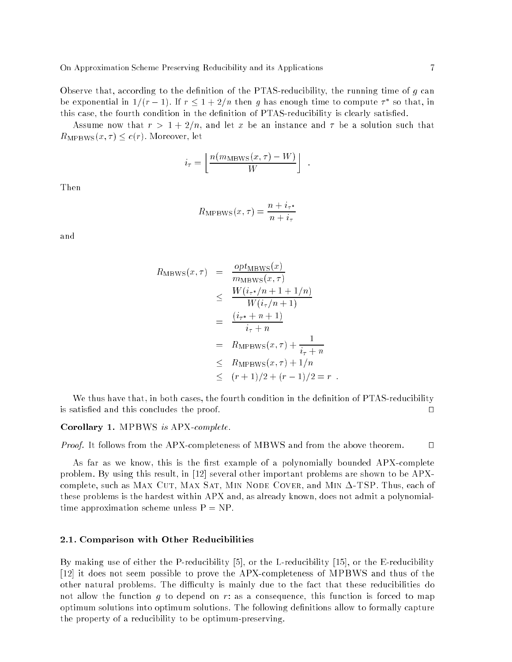Observe that, according to the definition of the PTAS-reducibility, the running time of  $g$  can be exponential in  $1/(r - 1)$ . If  $r \leq 1 + 2/n$  then g has enough time to compute  $r$  so that, in this case, the fourth condition in the definition of PTAS-reducibility is clearly satisfied.

Assume now that  $r > 1 + 2/n$ , and let x be an instance and  $\tau$  be a solution such that  $R_{\text{MPBWS}}(x, \tau) \leq c(r)$ . Moreover, let

$$
i_{\tau} = \left\lfloor \frac{n(m_{\text{MBWS}}(x,\tau) - W)}{W} \right\rfloor
$$

Then

$$
R_{\text{MPBWS}}(x,\tau) = \frac{n + i_{\tau^*}}{n + i_{\tau}}
$$

and

$$
R_{\text{MBWS}}(x,\tau) = \frac{opt_{\text{MBWS}}(x)}{m_{\text{MBWS}}(x,\tau)}
$$
  
\n
$$
\leq \frac{W(i_{\tau^*}/n+1+1/n)}{W(i_{\tau}/n+1)}
$$
  
\n
$$
= \frac{(i_{\tau^*}+n+1)}{i_{\tau}+n}
$$
  
\n
$$
= R_{\text{MPBWS}}(x,\tau) + \frac{1}{i_{\tau}+n}
$$
  
\n
$$
\leq R_{\text{MPBWS}}(x,\tau) + 1/n
$$
  
\n
$$
\leq (r+1)/2 + (r-1)/2 = r.
$$

We thus have that, in both cases, the fourth condition in the definition of PTAS-reducibility is satisfied and this concludes the proof.  $\Box$ 

Corollary 1. MPBWS is APX-complete.

*Proof.* It follows from the APX-completeness of MBWS and from the above theorem.  $\square$ 

As far as we know, this is the first example of a polynomially bounded APX-complete problem. By using this result, in [12] several other important problems are shown to be APXcomplete, such as MAX CUT, MAX SAT, MIN NODE COVER, and MIN  $\Delta$ -TSP. Thus, each of these problems is the hardest within APX and, as already known, does not admit a polynomialtime approximation scheme unless  $P = NP$ .

## 2.1. Comparison with Other Reducibilities

By making use of either the P-reducibility [5], or the L-reducibility [15], or the E-reducibility [12] it does not seem possible to prove the APX-completeness of MPBWS and thus of the other natural problems. The difficulty is mainly due to the fact that these reducibilities do not allow the function g to depend on r: as a consequence, this function is forced to map optimum solutions into optimum solutions. The following denitions allow to formally capture the property of a reducibility to be optimum-preserving.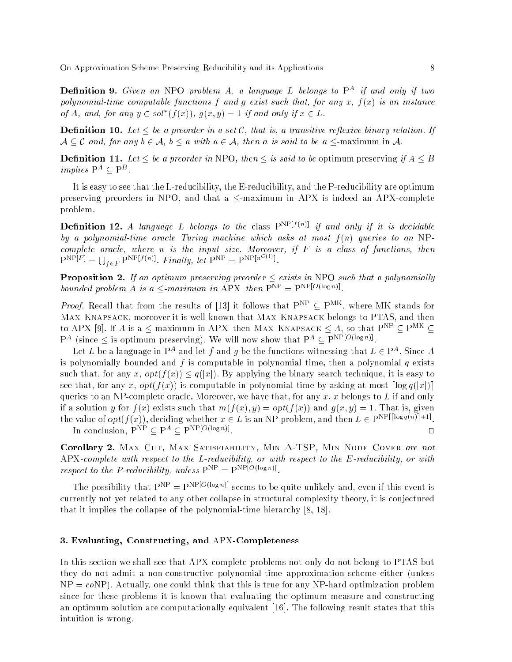**Demminon 9.** Given an NPO problem  $A$ , a language L belongs to  $\Gamma$  - if and only if two polynomial-time computable functions f and q exist such that, for any x,  $f(x)$  is an instance of A, and, for any  $y \in \text{sol}$  (f(x)),  $q(x, y) = 1$  if and only if  $x \in L$ .

**Definition 10.** Let  $\leq$  be a preorder in a set C, that is, a transitive reflexive binary relation. If  $A \subset C$  and, for any  $b \in A$ ,  $b \le a$  with  $a \in A$ , then a is said to be a  $\le$ -maximum in A.

**Definition 11.** Let  $\leq$  be a preorder in NPO, then  $\leq$  is said to be optimum preserving if A  $\leq$  B *implies*  $\Gamma$   $\subset$   $\Gamma$ .

It is easy to see that the L-reducibility, the E-reducibility, and the P-reducibility are optimum preserving preorders in NPO, and that a  $\leq$ -maximum in APX is indeed an APX-complete problem.

**Definition 12.** A language L belongs to the class  $P^{NP[f(n)]}$  if and only if it is decidable by a polynomial-time oracle Turing machine which asks at most  $f(n)$  queries to an NPcomplete oracle, where n is the input size. Moreover, if  $F$  is a class of functions, then  $P^{NP[F]} = \bigcup_{f \in F} P^{NP[f(n)]}.$  Finally, let  $P^{NP} = P^{NP[n^{O(1)}]}$ .

**Proposition 2.** If an optimum preserving preorder  $\leq$  exists in NPO such that a polynomially bounded problem A is  $a \leq m$  maximum in APA then  $P^m = P^m$  is  $C^{\infty,n}$ .

*Proof.* Recall that from the results of [13] it follows that  $P_1 \subseteq P_2$ , where MR stands for Max Knapsack, moreover it is well-known that Max Knapsack belongs to PTAS, and then to APX [9]. If A is a  $\leq$ -maximum in APX then MAX KNAPSACK  $\leq A$ , so that  $P^{NP} \subset P^{MK} \subset$  $\Gamma$  (since  $\sim$  is optimum preserving). We will now show that  $\Gamma$   $\subset$   $\Gamma$   $\longrightarrow$   $\sim$   $\sim$   $\sim$ 

Let L be a language in P<sup>op</sup> and let T and U be the functions witnessing that  $L \in \Gamma^+$ . Since A is polynomially bounded and  $f$  is computable in polynomial time, then a polynomial  $q$  exists such that, for any x,  $opt(f(x)) \leq q(|x|)$ . By applying the binary search technique, it is easy to see that, for any x,  $opt(f(x))$  is computable in polynomial time by asking at most  $\lceil \log q(x) \rceil$ queries to an NP-complete oracle. Moreover, we have that, for any x, x belongs to L if and only if a solution y for  $f(x)$  exists such that  $m(f(x), y) = opt(f(x))$  and  $g(x, y) = 1$ . That is, given the value of  $op_{U}(x)$ ), deciding whether  $x \in L$  is an NP problem, and then  $L \in P$  is  $\mathbb{R}^{n\times n+1}$ . In conclusion,  $P^{NP} \subset P^A \subset P^{NP[O(\log n)]}$ .  $\Box$ 

Corollary 2. MAX CUT, MAX SATISFIABILITY, MIN  $\Delta$ -TSP, MIN NODE COVER are not APX-complete with respect to the L-reducibility, or with respect to the E-reducibility, or with

The possibility that  $P^{NP} = P^{NP[O(\log n)]}$  seems to be quite unlikely and, even if this event is currently not yet related to any other collapse in structural complexity theory, it is conjectured that it implies the collapse of the polynomial-time hierarchy [8, 18].

## 3. Evaluating, Constructing, and APX-Completeness

respect to the P-reduction  $\mu$  unless  $\Gamma = \Gamma$  is a position

In this section we shall see that APX-complete problems not only do not belong to PTAS but they do not admit a non-constructive polynomial-time approximation scheme either (unless  $NP = coNP$ ). Actually, one could think that this is true for any NP-hard optimization problem since for these problems it is known that evaluating the optimum measure and constructing an optimum solution are computationally equivalent [16]. The following result states that this intuition is wrong.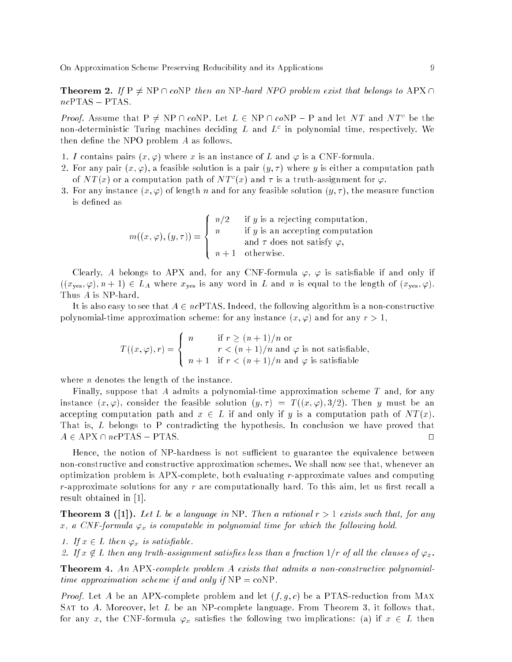**Theorem 2.** If  $P \neq NP \cap coNP$  then an NP-hard NPO problem exist that belongs to APX  $\cap$  $ncPTAS - PTAS$ .

Froof. Assume that  $\Gamma \neq N\Gamma + C$  on  $\Gamma$ , let  $L \in N\Gamma + C$  on  $\Gamma = \Gamma$  and let  $NL$  and  $NL$  be the non-deterministic Turing machines deciding  $L$  and  $L^{\ast}$  in polynomial time, respectively. We then define the NPO problem  $A$  as follows.

- 1. I contains pairs  $(x, \varphi)$  where x is an instance of L and  $\varphi$  is a CNF-formula.
- 2. For any pair  $(x, \varphi)$ , a feasible solution is a pair  $(y, \tau)$  where y is either a computation path of N T (x) or a computation path of N T  $(x)$  and T is a truth-assignment for  $\varphi.$
- 3. For any instance  $(x, \varphi)$  of length n and for any feasible solution  $(y, \tau)$ , the measure function is defined as

 $m((x, \varphi), (y, \tau)) =$ **88 September 200**  $\mathbf{1}$  $\perp$ n=2 if y is a rejecting computation, n if y is an acception of the computation of the computation of the computation of the computation of the computation of the computation of the computation of the computation of the computation of the computation of the co and  $\tau$  does not satisfy  $\varphi,$ n + 1 otherwise.

Clearly, A belongs to APX and, for any CNF-formula  $\varphi$ ,  $\varphi$  is satisfiable if and only if  $((x_{\text{yes}}, \varphi), n+1) \in L_A$  where  $x_{\text{yes}}$  is any word in  $L$  and  $n$  is equal to the length of  $(x_{\text{yes}}, \varphi)$ . Thus A is NP-hard.

It is also easy to see that  $A \in \mathbb{ncPTAS}$ . Indeed, the following algorithm is a non-constructive polynomial-time approximation scheme: for any instance  $(x, \varphi)$  and for any  $r > 1$ ,

$$
T((x,\varphi),r) = \begin{cases} n & \text{if } r \ge (n+1)/n \text{ or} \\ r < (n+1)/n \text{ and } \varphi \text{ is not satisfiable,} \\ n+1 & \text{if } r < (n+1)/n \text{ and } \varphi \text{ is satisfiable} \end{cases}
$$

where  $n$  denotes the length of the instance.

Finally, suppose that A admits a polynomial-time approximation scheme  $T$  and, for any instance  $(x, \varphi)$ , consider the feasible solution  $(y, \tau) = T((x, \varphi), 3/2)$ . Then y must be an accepting computation path and  $x \in L$  if and only if y is a computation path of  $NT(x)$ . That is, L belongs to P contradicting the hypothesis. In conclusion we have proved that  $A \in \text{APX} \cap \textit{ncPTAS}$  – PTAS.

Hence, the notion of NP-hardness is not sufficient to guarantee the equivalence between non-constructive and constructive approximation schemes. We shall now see that, whenever an optimization problem is APX-complete, both evaluating r-approximate values and computing  $r$ -approximate solutions for any  $r$  are computationally hard. To this aim, let us first recall a result obtained in [1].

**Theorem 3** ([1]). Let L be a language in NP. Then a rational  $r > 1$  exists such that, for any x, a CNF-formula  $\varphi_x$  is computable in polynomial time for which the following hold.

1. If  $x \in L$  then  $\varphi_x$  is satisfiable.

2. If  $x \notin L$  then any truth-assignment satisfies less than a fraction  $1/r$  of all the clauses of  $\varphi_x$ .

**Theorem 4.** An APX-complete problem A exists that admits a non-constructive polynomialtime approximation scheme if and only if  $NP = \text{coNP}$ .

*Proof.* Let A be an APX-complete problem and let  $(f, g, c)$  be a PTAS-reduction from MAX SAT to A. Moreover, let  $L$  be an NP-complete language. From Theorem 3, it follows that, for any x, the CNF-formula  $\varphi_x$  satisfies the following two implications: (a) if  $x \in L$  then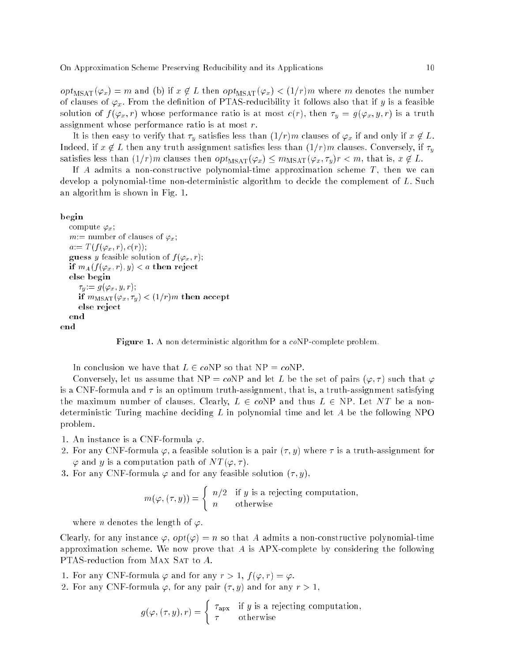$opt_{\text{MSAT}}(\varphi_x) = m$  and (b) if  $x \notin L$  then  $opt_{\text{MSAT}}(\varphi_x) < (1/r)m$  where m denotes the number of clauses of  $\varphi_x$ . From the definition of PTAS-reducibility it follows also that if y is a feasible solution of  $f(\varphi_x, r)$  whose performance ratio is at most  $c(r)$ , then  $\tau_y = g(\varphi_x, y, r)$  is a truth assignment whose performance ratio is at most r.

It is then easy to verify that  $\tau_y$  satisfies less than  $(1/r)m$  clauses of  $\varphi_x$  if and only if  $x\not\in L.$ Indeed, if  $x \notin L$  then any truth assignment satisfies less than  $(1/r)m$  clauses. Conversely, if  $\tau_y$ satisfies less than  $(1/r)m$  clauses then  $opt_{\text{MSAT}}(\varphi_x) \leq m_{\text{MSAT}}(\varphi_x, \tau_y)r < m$ , that is,  $x \notin L$ .

If A admits a non-constructive polynomial-time approximation scheme  $T$ , then we can develop a polynomial-time non-deterministic algorithm to decide the complement of L. Such an algorithm is shown in Fig. 1.

### begin

```
compute \varphi_x;
   m:= number of clauses of \varphi_x;
   a:= T(f(\varphi_x, r), c(r));guess y feasible solution of f(\varphi_x, r);
   if m_A(f(\varphi_x,r), y) < a then reject
  else begin
      \tau_y := g(\varphi_x, y, r);
      if m_{\text{MSAT}}(\varphi_x, \tau_y) < (1/r)m then accept
      else reject
   end
end
```
**Figure 1.** A non deterministic algorithm for a coNP-complete problem.

In conclusion we have that  $L \in coNP$  so that  $NP = coNP$ .

Conversely, let us assume that NP = coNP and let L be the set of pairs  $(\varphi, \tau)$  such that  $\varphi$ is a CNF-formula and  $\tau$  is an optimum truth-assignment, that is, a truth-assignment satisfying the maximum number of clauses. Clearly,  $L \in c_0 N$ P and thus  $L \in NP$ . Let NT be a nondeterministic Turing machine deciding  $L$  in polynomial time and let  $A$  be the following NPO problem.

- 1. An instance is a CNF-formula  $\varphi$ .
- 2. For any CNF-formula  $\varphi$ , a feasible solution is a pair  $(\tau, y)$  where  $\tau$  is a truth-assignment for  $\varphi$  and y is a computation path of  $NT(\varphi, \tau)$ .
- 3. For any CNF-formula  $\varphi$  and for any feasible solution  $(\tau, y)$ ,

$$
m(\varphi, (\tau, y)) = \begin{cases} n/2 & \text{if } y \text{ is a rejecting computation,} \\ n & \text{otherwise} \end{cases}
$$

where *n* denotes the length of  $\varphi$ .

Clearly, for any instance  $\varphi$ ,  $opt(\varphi) = n$  so that A admits a non-constructive polynomial-time approximation scheme. We now prove that A is APX-complete by considering the following PTAS-reduction from MAX SAT to A.

- 1. For any CNF-formula  $\varphi$  and for any  $r > 1$ ,  $f(\varphi, r) = \varphi$ .
- 2. For any CNF-formula  $\varphi$ , for any pair  $(\tau, y)$  and for any  $r > 1$ ,

$$
g(\varphi, (\tau, y), r) = \begin{cases} \tau_{\text{apx}} & \text{if } y \text{ is a rejecting computation,} \\ \tau & \text{otherwise} \end{cases}
$$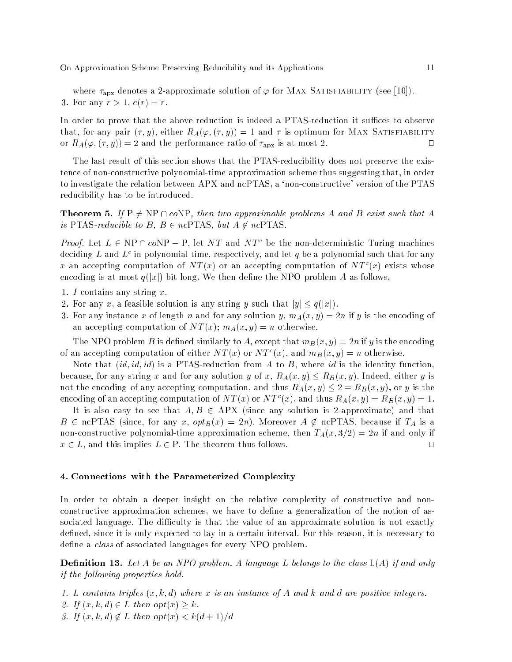where  $\tau_{apx}$  denotes a 2-approximate solution of  $\varphi$  for MAX SATISFIABILITY (see [10]). 3. For any  $r > 1$ ,  $c(r) = r$ .

In order to prove that the above reduction is indeed a PTAS-reduction it suffices to observe that, for any pair  $(\tau, y)$ , either  $R_A(\varphi, (\tau, y)) = 1$  and  $\tau$  is optimum for MAX SATISFIABILITY or  $R_A(\varphi, (\tau, y)) = 2$  and the performance ratio of  $\tau_{\text{apx}}$  is at most 2.

The last result of this section shows that the PTAS-reducibility does not preserve the existence of non-constructive polynomial-time approximation scheme thus suggesting that, in order to investigate the relation between APX and ncPTAS, a 'non-constructive' version of the PTAS reducibility has to be introduced.

**Theorem 5.** If  $P \neq NP \cap coNP$ , then two approximable problems A and B exist such that A is PTAS-reducible to B,  $B \in ncPTAS$ , but  $A \notin ncPTAS$ .

*Proof.* Let  $L \in \mathbb{N}$  if  $\lceil \lceil \mathcal{O} \rceil \lceil \mathcal{O} \rceil$  is a set  $N$  to and  $N$  to be the non-deterministic Turing machines deciding  $L$  and  $L^{\ast}$  in polynomial time, respectively, and let  $q$  be a polynomial such that for any  $x$  an accepting computation of  $N I(x)$  or an accepting computation of  $N I^-(x)$  exists whose encoding is at most  $q(|x|)$  bit long. We then define the NPO problem A as follows.

- 1. I contains any string x.
- 2. For any x, a feasible solution is any string y such that  $|y| \leq q(|x|)$ .
- 3. For any instance x of length n and for any solution y,  $m_A(x, y) = 2n$  if y is the encoding of an accepting computation of  $NT(x)$ ;  $m_A(x,y) = n$  otherwise.

The NPO problem B is defined similarly to A, except that  $m_B(x, y) = 2n$  if y is the encoding of an accepting computation of either *i*v  $I(x)$  or *i*v  $I^-(x)$ , and  $m_B(x, y) = n$  otherwise.

Note that  $(id, id, id)$  is a PTAS-reduction from A to B, where id is the identity function, because, for any string x and for any solution y of x,  $R_A(x, y) \le R_B(x, y)$ . Indeed, either y is not the encoding of any accepting computation, and thus  $R_A(x, y) \leq 2 = R_B(x, y)$ , or y is the encoding of an accepting computation of N T (x) or N T (x), and thus  $R_A(x, y) = R_B(x, y) = 1$ .

It is also easy to see that  $A, B \in APX$  (since any solution is 2-approximate) and that  $B \in \text{ncPTAS}$  (since, for any x,  $opt_B(x) = 2n$ ). Moreover  $A \notin \text{ncPTAS}$ , because if  $T_A$  is a non-constructive polynomial-time approximation scheme, then  $T_A(x, 3/2) = 2n$  if and only if  $x \in L$ , and this implies  $L \in P$ . The theorem thus follows.  $\Box$ 

### 4. Connections with the Parameterized Complexity

In order to obtain a deeper insight on the relative complexity of constructive and nonconstructive approximation schemes, we have to define a generalization of the notion of associated language. The difficulty is that the value of an approximate solution is not exactly defined, since it is only expected to lay in a certain interval. For this reason, it is necessary to define a *class* of associated languages for every NPO problem.

**Definition 13.** Let A be an NPO problem. A language L belongs to the class  $L(A)$  if and only if the following properties hold.

- 1. L contains triples  $(x, k, d)$  where x is an instance of A and k and d are positive integers.
- 2. If  $(x, k, d) \in L$  then  $opt(x) \geq k$ .
- 3. If  $(x, k, d) \notin L$  then  $opt(x) < k(d+1)/d$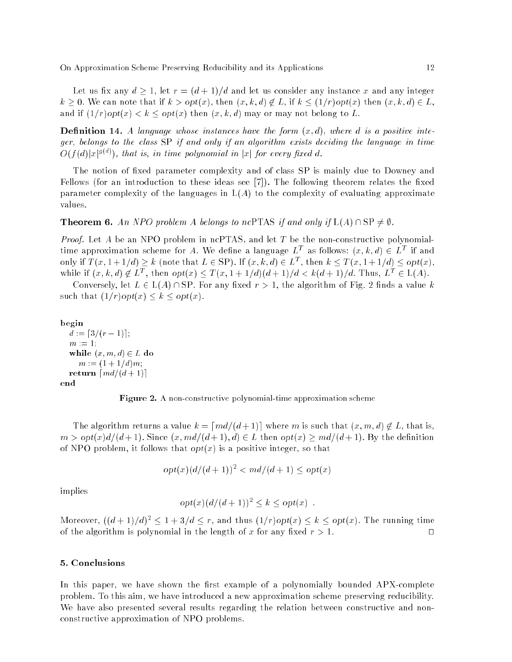Let us fix any  $d \geq 1$ , let  $r = (d+1)/d$  and let us consider any instance x and any integer  $k \geq 0$ . We can note that if  $k > opt(x)$ , then  $(x, k, d) \notin L$ , if  $k \leq (1/r)opt(x)$  then  $(x, k, d) \in L$ , and if  $(1/r)$  opt $(x) < k <$  opt $(x)$  then  $(x, k, d)$  may or may not belong to L.

**Definition 14.** A language whose instances have the form  $(x,d)$ , where d is a positive integer, belongs to the class SP if and only if an algorithm exists deciding the language in time  $O(1/a)|x|^{\sigma(\gamma)})$ , that is, in time polynomial in  $|x|$  for every fixed  $a$ .

The notion of fixed parameter complexity and of class SP is mainly due to Downey and Fellows (for an introduction to these ideas see  $[7]$ ). The following theorem relates the fixed parameter complexity of the languages in  $L(A)$  to the complexity of evaluating approximate values.

# **Theorem 6.** An NPO problem A belongs to ncPTAS if and only if  $L(A) \cap SP \neq \emptyset$ .

*Proof.* Let A be an NPO problem in ncPTAS, and let T be the non-constructive polynomialthree approximation scheme for A. We define a language  $L$  as follows:  $(x, \kappa, a) \in L$  . If and only if  $T(x, 1 + 1/a) \geq k$  (note that  $L \in \mathcal{S}\Gamma$ ). If  $(x, \kappa, a) \in L^{\infty}$ , then  $k \leq T(x, 1 + 1/a) \leq opt(x)$ , WHILE II  $\{x, \kappa, a\} \notin L$ , then  $op(x) \leq T(x, 1 + 1/a)(a + 1)/a \leq \kappa(a + 1)/a$ . Thus,  $L_{\mathbb{C}} \in L(A)$ .

Conversely, let  $L \in L(A) \cap SP$ . For any fixed  $r > 1$ , the algorithm of Fig. 2 finds a value k such that  $(1/r)$ opt $(x) \leq k \leq opt(x)$ .

#### begin

 $d := [3/(r - 1)];$  $m := 1$ ; while  $(x, m, d) \in L$  do  $m := (1 + 1/d)m;$ return  $\lceil md/(d + 1) \rceil$ end



The algorithm returns a value  $k = \lceil md/(d + 1) \rceil$  where m is such that  $(x, m, d) \notin L$ , that is,  $m > opt(x)d/(d+1)$ . Since  $(x, md/(d+1), d) \in L$  then  $opt(x) \geq md/(d+1)$ . By the definition of NPO problem, it follows that  $opt(x)$  is a positive integer, so that

$$
opt(x)(d/(d+1))^2 < md/(d+1) \le opt(x)
$$

implies

$$
opt(x) (d/(d+1))^2 \leq k \leq opt(x) .
$$

Moreover,  $((a + 1)/a) \leq 1 + 3/a \leq r$ , and thus  $(1/r)\circ p(x) \leq \kappa \leq \circ p(x)$ . The running time of the algorithm is polynomial in the length of x for any fixed  $r > 1$ .  $\Box$ 

#### 5. Conclusions

In this paper, we have shown the first example of a polynomially bounded APX-complete problem. To this aim, we have introduced a new approximation scheme preserving reducibility. We have also presented several results regarding the relation between constructive and nonconstructive approximation of NPO problems.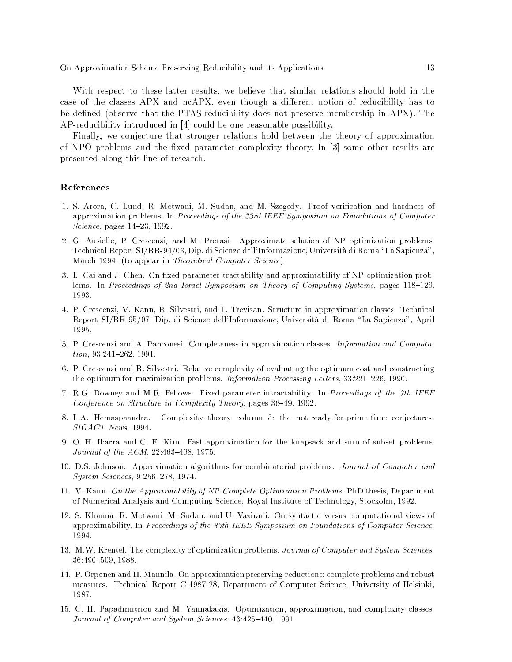With respect to these latter results, we believe that similar relations should hold in the case of the classes APX and ncAPX, even though a different notion of reducibility has to be defined (observe that the PTAS-reducibility does not preserve membership in APX). The AP-reducibility introduced in [4] could be one reasonable possibility.

Finally, we conjecture that stronger relations hold between the theory of approximation of NPO problems and the fixed parameter complexity theory. In [3] some other results are presented along this line of research.

# References

- 1. S. Arora, C. Lund, R. Motwani, M. Sudan, and M. Szegedy. Proof verification and hardness of approximation problems. In Proceedings of the 33rd IEEE Symposium on Foundations of Computer Science, pages  $14-23$ , 1992.
- 2. G. Ausiello, P. Crescenzi, and M. Protasi. Approximate solution of NP optimization problems. Technical Report SI/RR-94/03, Dip. di Scienze dell'Informazione, Universita di Roma \La Sapienza", March 1994. (to appear in Theoretical Computer Science).
- 3. L. Cai and J. Chen. On fixed-parameter tractability and approximability of NP optimization problems. In Proceedings of 2nd Israel Symposium on Theory of Computing Systems, pages 118-126, 1993.
- 4. P. Crescenzi, V. Kann, R. Silvestri, and L. Trevisan. Structure in approximation classes. Technical Report SI/RR-95/07, Dip. di Scienze dell'Informazione, Universita di Roma \La Sapienza", April
- 5. P. Crescenzi and A. Panconesi. Completeness in approximation classes. Information and Computa $tion, 93:241-262, 1991.$
- 6. P. Crescenzi and R. Silvestri. Relative complexity of evaluating the optimum cost and constructing the optimum for maximization problems. Information Processing Letters,  $33:221-226$ , 1990.
- 7. R.G. Downey and M.R. Fellows. Fixed-parameter intractability. In Proceedings of the 7th IEEE Conference on Structure in Complexity Theory, pages 36-49, 1992.
- 8. L.A. Hemaspaandra. Complexity theory column 5: the not-ready-for-prime-time conjectures. SIGACT News, 1994.
- 9. O. H. Ibarra and C. E. Kim. Fast approximation for the knapsack and sum of subset problems. Journal of the  $ACM$ ,  $22:463-468$ , 1975.
- 10. D.S. Johnson. Approximation algorithms for combinatorial problems. Journal of Computer and System Sciences, 9:256-278, 1974.
- 11. V. Kann. On the Approximability of NP-Complete Optimization Problems. PhD thesis, Department of Numerical Analysis and Computing Science, Royal Institute of Technology, Stockolm, 1992.
- 12. S. Khanna, R. Motwani, M. Sudan, and U. Vazirani. On syntactic versus computational views of approximability. In Proceedings of the 35th IEEE Symposium on Foundations of Computer Science, 1994.
- 13. M.W. Krentel. The complexity of optimization problems. Journal of Computer and System Sciences, 36:490-509, 1988.
- 14. P. Orponen and H. Mannila. On approximation preserving reductions: complete problems and robust measures. Technical Report C-1987-28, Department of Computer Science, University of Helsinki, 1987.
- 15. C. H. Papadimitriou and M. Yannakakis. Optimization, approximation, and complexity classes. Journal of Computer and System Sciences, 43:425-440, 1991.